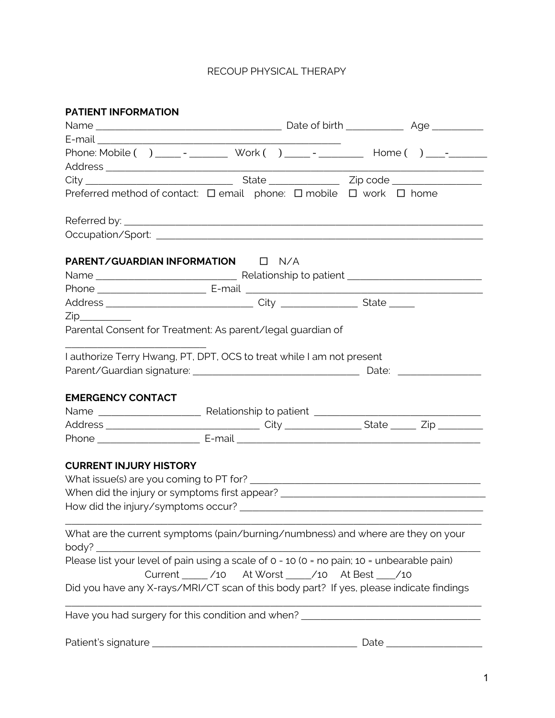| <b>PATIENT INFORMATION</b>    |                                                                                            |      |  |
|-------------------------------|--------------------------------------------------------------------------------------------|------|--|
|                               |                                                                                            |      |  |
|                               |                                                                                            |      |  |
|                               | Phone: Mobile ( ) ______ _ _________ Work ( ) ______ _ _________ Home ( ) ______           |      |  |
|                               |                                                                                            |      |  |
|                               |                                                                                            |      |  |
|                               | Preferred method of contact: □ email phone: □ mobile □ work □ home                         |      |  |
|                               |                                                                                            |      |  |
|                               |                                                                                            |      |  |
|                               | <b>PARENT/GUARDIAN INFORMATION DI N/A</b>                                                  |      |  |
|                               |                                                                                            |      |  |
|                               |                                                                                            |      |  |
|                               |                                                                                            |      |  |
| Zip                           |                                                                                            |      |  |
|                               | Parental Consent for Treatment: As parent/legal guardian of                                |      |  |
|                               | I authorize Terry Hwang, PT, DPT, OCS to treat while I am not present                      |      |  |
|                               |                                                                                            |      |  |
|                               |                                                                                            |      |  |
| <b>EMERGENCY CONTACT</b>      |                                                                                            |      |  |
|                               |                                                                                            |      |  |
|                               |                                                                                            |      |  |
|                               |                                                                                            |      |  |
|                               |                                                                                            |      |  |
| <b>CURRENT INJURY HISTORY</b> |                                                                                            |      |  |
|                               |                                                                                            |      |  |
|                               | When did the injury or symptoms first appear? __________________________________           |      |  |
|                               |                                                                                            |      |  |
|                               |                                                                                            |      |  |
|                               | What are the current symptoms (pain/burning/numbness) and where are they on your           |      |  |
| body? $\rule{1em}{0.15mm}$    |                                                                                            |      |  |
|                               | Please list your level of pain using a scale of 0 - 10 (0 = no pain; 10 = unbearable pain) |      |  |
|                               | Current _____ /10 At Worst ____ /10 At Best ___ /10                                        |      |  |
|                               | Did you have any X-rays/MRI/CT scan of this body part? If yes, please indicate findings    |      |  |
|                               |                                                                                            |      |  |
|                               | Have you had surgery for this condition and when? ______________________________           |      |  |
|                               |                                                                                            |      |  |
|                               |                                                                                            | Date |  |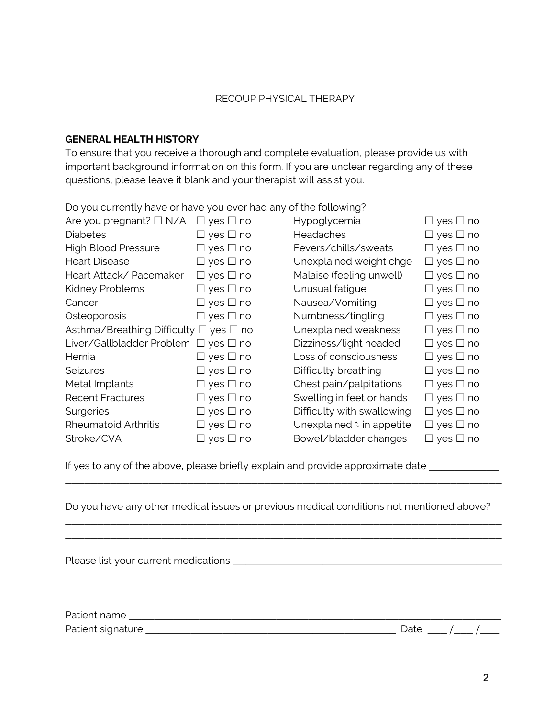## **GENERAL HEALTH HISTORY**

To ensure that you receive a thorough and complete evaluation, please provide us with important background information on this form. If you are unclear regarding any of these questions, please leave it blank and your therapist will assist you.

Do you currently have or have you ever had any of the following?

| Are you pregnant? $\Box$ N/A                     | $\Box$ yes $\Box$ no | Hypoglycemia                         | $\Box$ yes $\Box$ no |
|--------------------------------------------------|----------------------|--------------------------------------|----------------------|
| <b>Diabetes</b>                                  | $\Box$ yes $\Box$ no | <b>Headaches</b>                     | $\Box$ yes $\Box$ no |
| <b>High Blood Pressure</b>                       | $\Box$ yes $\Box$ no | Fevers/chills/sweats                 | $\Box$ yes $\Box$ no |
| <b>Heart Disease</b>                             | $\Box$ yes $\Box$ no | Unexplained weight chge              | $\Box$ yes $\Box$ no |
| Heart Attack/Pacemaker                           | $\Box$ yes $\Box$ no | Malaise (feeling unwell)             | $\Box$ yes $\Box$ no |
| Kidney Problems                                  | $\Box$ yes $\Box$ no | Unusual fatigue                      | $\Box$ yes $\Box$ no |
| Cancer                                           | $\Box$ yes $\Box$ no | Nausea/Vomiting                      | $\Box$ yes $\Box$ no |
| Osteoporosis                                     | $\Box$ yes $\Box$ no | Numbness/tingling                    | $\Box$ yes $\Box$ no |
| Asthma/Breathing Difficulty $\Box$ yes $\Box$ no |                      | Unexplained weakness                 | $\Box$ yes $\Box$ no |
| Liver/Gallbladder Problem                        | $\Box$ yes $\Box$ no | Dizziness/light headed               | $\Box$ yes $\Box$ no |
| Hernia                                           | $\Box$ yes $\Box$ no | Loss of consciousness                | $\Box$ yes $\Box$ no |
| <b>Seizures</b>                                  | $\Box$ yes $\Box$ no | Difficulty breathing                 | $\Box$ yes $\Box$ no |
| Metal Implants                                   | $\Box$ yes $\Box$ no | Chest pain/palpitations              | $\Box$ yes $\Box$ no |
| <b>Recent Fractures</b>                          | $\Box$ yes $\Box$ no | Swelling in feet or hands            | $\Box$ yes $\Box$ no |
| Surgeries                                        | $\Box$ yes $\Box$ no | Difficulty with swallowing           | $\Box$ yes $\Box$ no |
| <b>Rheumatoid Arthritis</b>                      | $\Box$ yes $\Box$ no | Unexplained <sub>#</sub> in appetite | $\Box$ yes $\Box$ no |
| Stroke/CVA                                       | $\Box$ yes $\Box$ no | Bowel/bladder changes                | $\Box$ yes $\Box$ no |

If yes to any of the above, please briefly explain and provide approximate date \_\_\_\_\_\_\_\_\_\_\_\_\_\_\_\_\_\_\_\_\_\_\_\_\_\_\_\_\_\_

Do you have any other medical issues or previous medical conditions not mentioned above?

\_\_\_\_\_\_\_\_\_\_\_\_\_\_\_\_\_\_\_\_\_\_\_\_\_\_\_\_\_\_\_\_\_\_\_\_\_\_\_\_\_\_\_\_\_\_\_\_\_\_\_\_\_\_\_\_\_\_\_\_\_\_\_\_\_\_\_\_

\_\_\_\_\_\_\_\_\_\_\_\_\_\_\_\_\_\_\_\_\_\_\_\_\_\_\_\_\_\_\_\_\_\_\_\_\_\_\_\_\_\_\_\_\_\_\_\_\_\_\_\_\_\_\_\_\_\_\_\_\_\_\_\_\_\_\_\_ \_\_\_\_\_\_\_\_\_\_\_\_\_\_\_\_\_\_\_\_\_\_\_\_\_\_\_\_\_\_\_\_\_\_\_\_\_\_\_\_\_\_\_\_\_\_\_\_\_\_\_\_\_\_\_\_\_\_\_\_\_\_\_\_\_\_\_\_

Please list your current medications \_\_\_\_\_\_\_\_\_\_\_\_\_\_\_\_\_\_\_\_\_\_\_\_\_\_\_\_\_\_\_\_\_\_\_\_\_\_\_\_\_\_

| Dati<br>$\sim$           |  |  |
|--------------------------|--|--|
| D <sub>2</sub><br>.<br>ັ |  |  |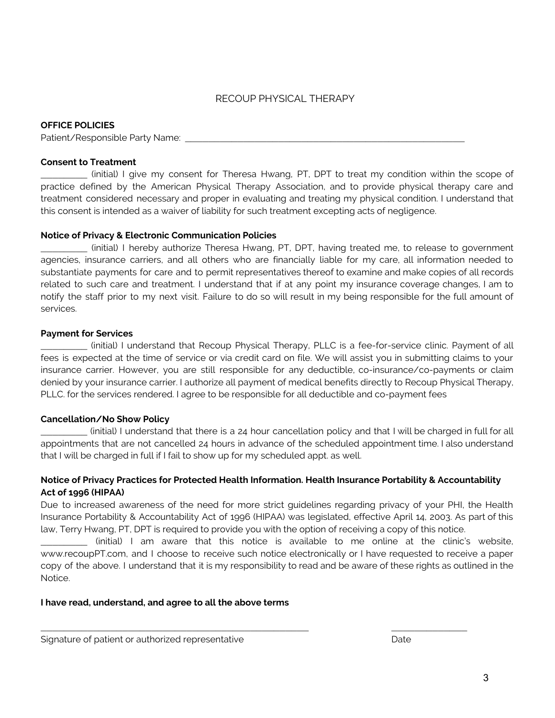#### **OFFICE POLICIES**

Patient/Responsible Party Name:

#### **Consent to Treatment**

\_\_\_\_\_\_\_\_ (initial) I give my consent for Theresa Hwang, PT, DPT to treat my condition within the scope of practice defined by the American Physical Therapy Association, and to provide physical therapy care and treatment considered necessary and proper in evaluating and treating my physical condition. I understand that this consent is intended as a waiver of liability for such treatment excepting acts of negligence.

#### **Notice of Privacy & Electronic Communication Policies**

\_\_\_\_\_\_\_\_ (initial) I hereby authorize Theresa Hwang, PT, DPT, having treated me, to release to government agencies, insurance carriers, and all others who are financially liable for my care, all information needed to substantiate payments for care and to permit representatives thereof to examine and make copies of all records related to such care and treatment. I understand that if at any point my insurance coverage changes, I am to notify the staff prior to my next visit. Failure to do so will result in my being responsible for the full amount of services.

#### **Payment for Services**

\_\_\_\_\_\_\_\_ (initial) I understand that Recoup Physical Therapy, PLLC is a fee-for-service clinic. Payment of all fees is expected at the time of service or via credit card on file. We will assist you in submitting claims to your insurance carrier. However, you are still responsible for any deductible, co-insurance/co-payments or claim denied by your insurance carrier. I authorize all payment of medical benefits directly to Recoup Physical Therapy, PLLC. for the services rendered. I agree to be responsible for all deductible and co-payment fees

#### **Cancellation/No Show Policy**

\_\_\_\_\_\_\_\_ (initial) I understand that there is a 24 hour cancellation policy and that I will be charged in full for all appointments that are not cancelled 24 hours in advance of the scheduled appointment time. I also understand that I will be charged in full if I fail to show up for my scheduled appt. as well.

### **Notice of Privacy Practices for Protected Health Information. Health Insurance Portability & Accountability Act of 1996 (HIPAA)**

Due to increased awareness of the need for more strict guidelines regarding privacy of your PHI, the Health Insurance Portability & Accountability Act of 1996 (HIPAA) was legislated, effective April 14, 2003. As part of this law, Terry Hwang, PT, DPT is required to provide you with the option of receiving a copy of this notice.

\_\_\_\_\_\_\_\_ (initial) I am aware that this notice is available to me online at the clinic's website, www.recoupPT.com, and I choose to receive such notice electronically or I have requested to receive a paper copy of the above. I understand that it is my responsibility to read and be aware of these rights as outlined in the Notice.

 $\frac{1}{2}$  ,  $\frac{1}{2}$  ,  $\frac{1}{2}$  ,  $\frac{1}{2}$  ,  $\frac{1}{2}$  ,  $\frac{1}{2}$  ,  $\frac{1}{2}$  ,  $\frac{1}{2}$  ,  $\frac{1}{2}$  ,  $\frac{1}{2}$  ,  $\frac{1}{2}$  ,  $\frac{1}{2}$  ,  $\frac{1}{2}$  ,  $\frac{1}{2}$  ,  $\frac{1}{2}$  ,  $\frac{1}{2}$  ,  $\frac{1}{2}$  ,  $\frac{1}{2}$  ,  $\frac{1$ 

#### **I have read, understand, and agree to all the above terms**

Signature of patient or authorized representative example of the Date Date